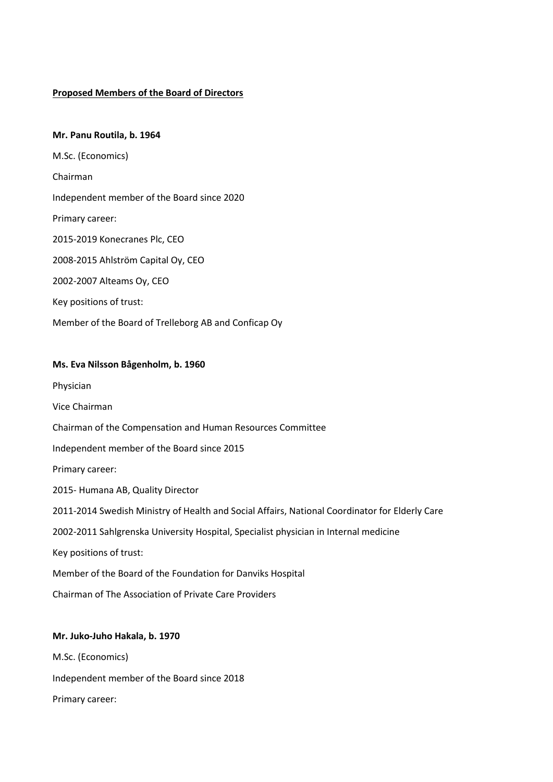### **Proposed Members of the Board of Directors**

# **Mr. Panu Routila, b. 1964**

M.Sc. (Economics) Chairman Independent member of the Board since 2020 Primary career: 2015-2019 Konecranes Plc, CEO 2008-2015 Ahlström Capital Oy, CEO 2002-2007 Alteams Oy, CEO Key positions of trust: Member of the Board of Trelleborg AB and Conficap Oy

### **Ms. Eva Nilsson Bågenholm, b. 1960**

- Physician
- Vice Chairman

Chairman of the Compensation and Human Resources Committee

Independent member of the Board since 2015

Primary career:

2015- Humana AB, Quality Director

2011-2014 Swedish Ministry of Health and Social Affairs, National Coordinator for Elderly Care

2002-2011 Sahlgrenska University Hospital, Specialist physician in Internal medicine

Key positions of trust:

Member of the Board of the Foundation for Danviks Hospital

Chairman of The Association of Private Care Providers

# **Mr. Juko-Juho Hakala, b. 1970**

M.Sc. (Economics) Independent member of the Board since 2018 Primary career: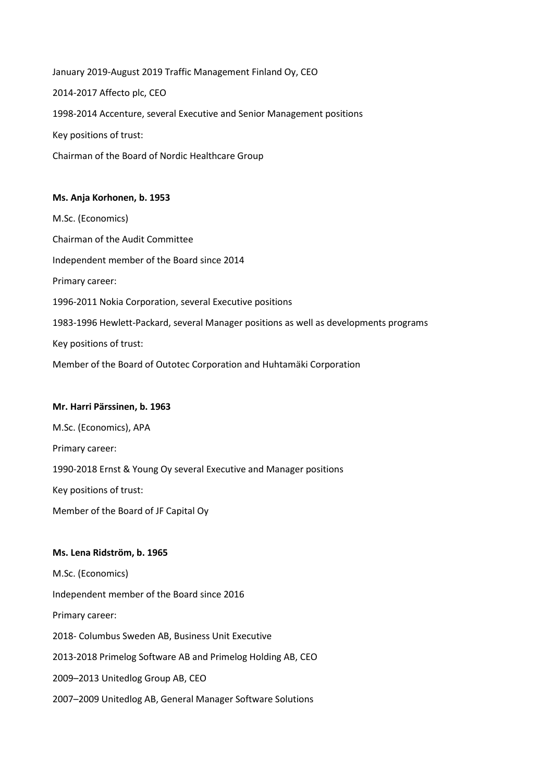January 2019-August 2019 Traffic Management Finland Oy, CEO 2014-2017 Affecto plc, CEO 1998-2014 Accenture, several Executive and Senior Management positions Key positions of trust: Chairman of the Board of Nordic Healthcare Group

# **Ms. Anja Korhonen, b. 1953**

M.Sc. (Economics) Chairman of the Audit Committee Independent member of the Board since 2014 Primary career: 1996-2011 Nokia Corporation, several Executive positions 1983-1996 Hewlett-Packard, several Manager positions as well as developments programs Key positions of trust: Member of the Board of Outotec Corporation and Huhtamäki Corporation

### **Mr. Harri Pärssinen, b. 1963**

M.Sc. (Economics), APA Primary career: 1990-2018 Ernst & Young Oy several Executive and Manager positions Key positions of trust:

Member of the Board of JF Capital Oy

# **Ms. Lena Ridström, b. 1965**

M.Sc. (Economics) Independent member of the Board since 2016 Primary career: 2018- Columbus Sweden AB, Business Unit Executive 2013-2018 Primelog Software AB and Primelog Holding AB, CEO 2009–2013 Unitedlog Group AB, CEO 2007–2009 Unitedlog AB, General Manager Software Solutions